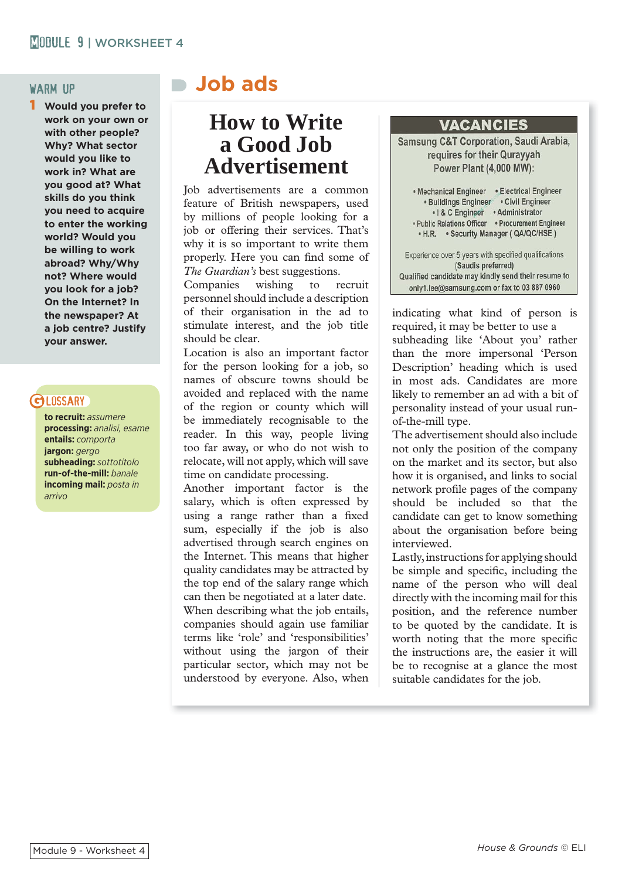1 **Would you prefer to work on your own or with other people? Why? What sector would you like to work in? What are you good at? What skills do you think you need to acquire to enter the working world? Would you be willing to work abroad? Why/Why not? Where would you look for a job? On the Internet? In the newspaper? At a job centre? Justify your answer.**

### **GLOSSARY**

**to recruit:** *assumere* **processing:** *analisi, esame* **entails:** *comporta* **jargon:** *gergo* **subheading:** *sottotitolo* **run-of-the-mill:** *banale* **incoming mail:** *posta in arrivo*

## warm up **Job ads**

### **How to Write a Good Job Advertisement**

Job advertisements are a common feature of British newspapers, used by millions of people looking for a job or offering their services. That's why it is so important to write them properly. Here you can find some of *The Guardian's* best suggestions.

Companies wishing to recruit personnel should include a description of their organisation in the ad to stimulate interest, and the job title should be clear.

Location is also an important factor for the person looking for a job, so names of obscure towns should be avoided and replaced with the name of the region or county which will be immediately recognisable to the reader. In this way, people living too far away, or who do not wish to relocate, will not apply, which will save time on candidate processing.

Another important factor is the salary, which is often expressed by using a range rather than a fixed sum, especially if the job is also advertised through search engines on the Internet. This means that higher quality candidates may be attracted by the top end of the salary range which can then be negotiated at a later date. When describing what the job entails, companies should again use familiar terms like 'role' and 'responsibilities' without using the jargon of their particular sector, which may not be understood by everyone. Also, when

#### **VACANCIES**

Samsung C&T Corporation, Saudi Arabia, requires for their Qurayyah Power Plant (4,000 MW):

. Mechanical Engineer . Electrical Engineer · Buildings Engineer • Civil Engineer • I & C Engineer • Administrator • Public Relations Officer • Procurement Engineer • H.R. • Security Manager ( QA/QC/HSE ) Experience over 5 years with specified qualifications (Saudis preferred) Qualified candidate may kindly send their resume to

only1.lee@samsung.com or fax to 03 887 0960

indicating what kind of person is required, it may be better to use a subheading like 'About you' rather than the more impersonal 'Person Description' heading which is used in most ads. Candidates are more likely to remember an ad with a bit of personality instead of your usual runof-the-mill type.

The advertisement should also include not only the position of the company on the market and its sector, but also how it is organised, and links to social network profile pages of the company should be included so that the candidate can get to know something about the organisation before being interviewed.

Lastly, instructions for applying should be simple and specific, including the name of the person who will deal directly with the incoming mail for this position, and the reference number to be quoted by the candidate. It is worth noting that the more specific the instructions are, the easier it will be to recognise at a glance the most suitable candidates for the job.